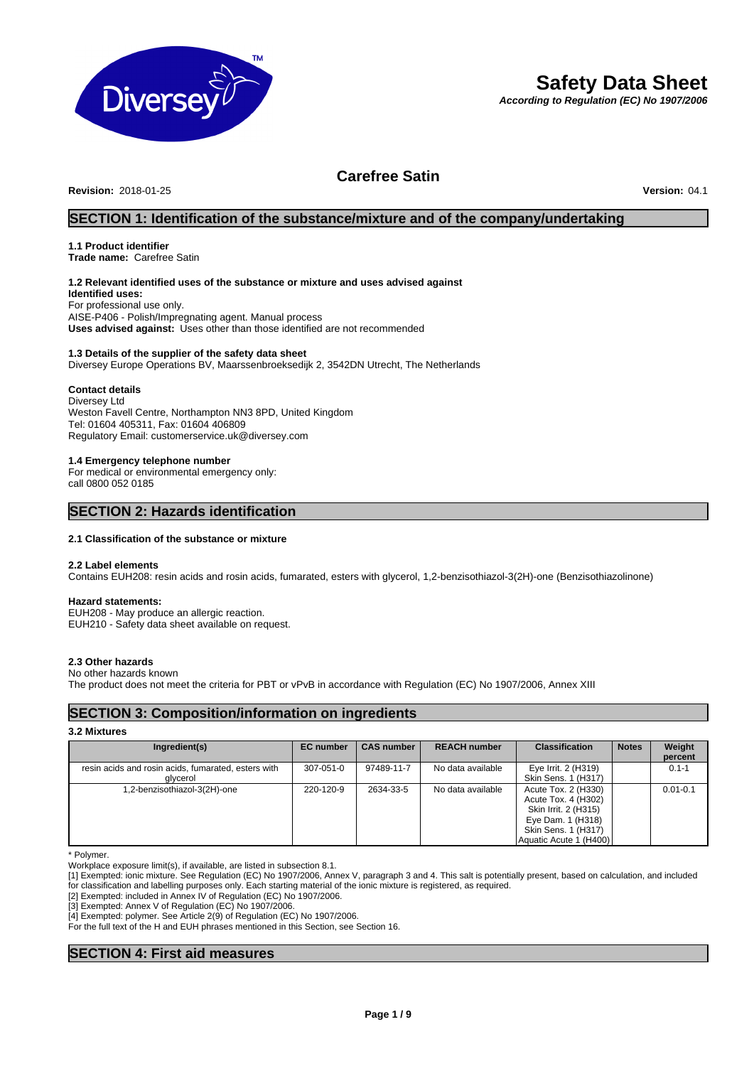

# **Safety Data Sheet**

*According to Regulation (EC) No 1907/2006*

## **Carefree Satin**

**Revision:** 2018-01-25 **Version:** 04.1

### **SECTION 1: Identification of the substance/mixture and of the company/undertaking**

## **1.1 Product identifier**

**Trade name:** Carefree Satin

### **1.2 Relevant identified uses of the substance or mixture and uses advised against**

**Identified uses:** For professional use only. AISE-P406 - Polish/Impregnating agent. Manual process **Uses advised against:** Uses other than those identified are not recommended

## **1.3 Details of the supplier of the safety data sheet**

Diversey Europe Operations BV, Maarssenbroeksedijk 2, 3542DN Utrecht, The Netherlands

### **Contact details**

Diversey Ltd Weston Favell Centre, Northampton NN3 8PD, United Kingdom Tel: 01604 405311, Fax: 01604 406809 Regulatory Email: customerservice.uk@diversey.com

### **1.4 Emergency telephone number**

For medical or environmental emergency only: call 0800 052 0185

### **SECTION 2: Hazards identification**

### **2.1 Classification of the substance or mixture**

### **2.2 Label elements**

Contains EUH208: resin acids and rosin acids, fumarated, esters with glycerol, 1,2-benzisothiazol-3(2H)-one (Benzisothiazolinone)

### **Hazard statements:**

EUH208 - May produce an allergic reaction. EUH210 - Safety data sheet available on request.

### **2.3 Other hazards**

### No other hazards known

The product does not meet the criteria for PBT or vPvB in accordance with Regulation (EC) No 1907/2006, Annex XIII

### **SECTION 3: Composition/information on ingredients**

### **3.2 Mixtures**

| Ingredient(s)                                                   | <b>EC</b> number | <b>CAS number</b> | <b>REACH number</b> | <b>Classification</b>                                                                                                                    | <b>Notes</b> | Weight<br>percent |
|-----------------------------------------------------------------|------------------|-------------------|---------------------|------------------------------------------------------------------------------------------------------------------------------------------|--------------|-------------------|
| resin acids and rosin acids, fumarated, esters with<br>glycerol | 307-051-0        | 97489-11-7        | No data available   | Eye Irrit. 2 (H319)<br>Skin Sens, 1 (H317)                                                                                               |              | $0.1 - 1$         |
| .2-benzisothiazol-3(2H)-one                                     | 220-120-9        | 2634-33-5         | No data available   | Acute Tox. 2 (H330)<br>Acute Tox. 4 (H302)<br>Skin Irrit. 2 (H315)<br>Eye Dam. 1 (H318)<br>Skin Sens. 1 (H317)<br>Aquatic Acute 1 (H400) |              | $0.01 - 0.1$      |

\* Polymer.

Workplace exposure limit(s), if available, are listed in subsection 8.1.

[1] Exempted: ionic mixture. See Regulation (EC) No 1907/2006, Annex V, paragraph 3 and 4. This salt is potentially present, based on calculation, and included for classification and labelling purposes only. Each starting material of the ionic mixture is registered, as required.

[2] Exempted: included in Annex IV of Regulation (EC) No 1907/2006.

[3] Exempted: Annex V of Regulation (EC) No 1907/2006.

[4] Exempted: polymer. See Article 2(9) of Regulation (EC) No 1907/2006.

For the full text of the H and EUH phrases mentioned in this Section, see Section 16.

## **SECTION 4: First aid measures**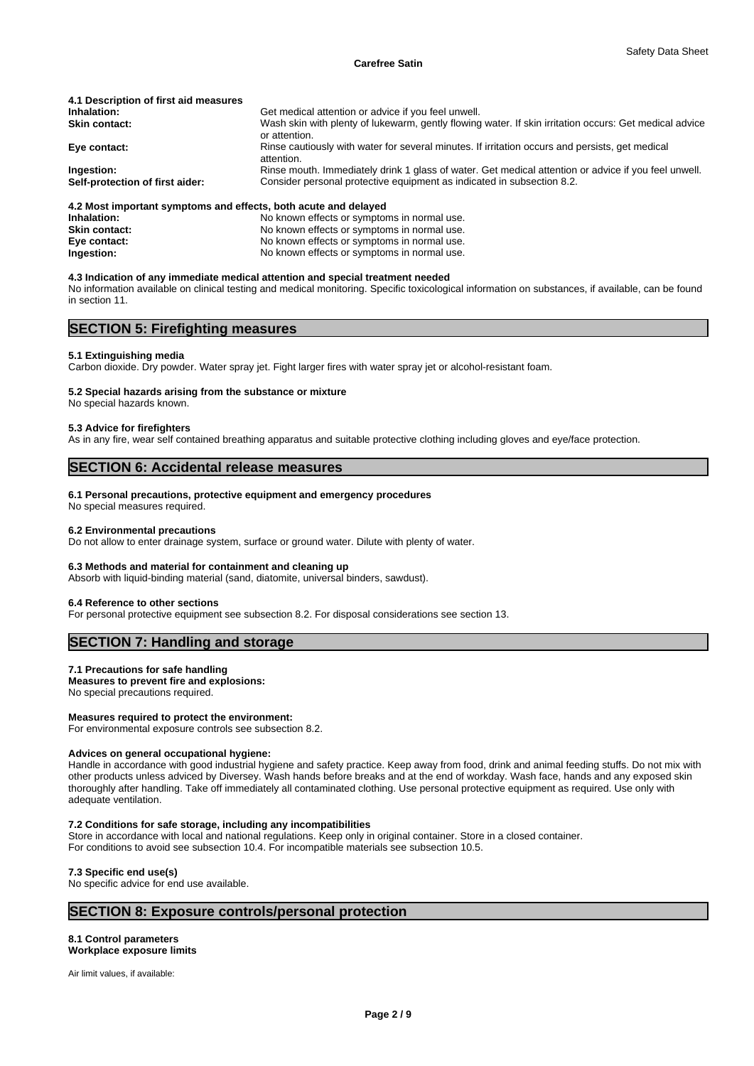#### **Carefree Satin**

| 4.1 Description of first aid measures         |                                                                                                                                                                                |
|-----------------------------------------------|--------------------------------------------------------------------------------------------------------------------------------------------------------------------------------|
| Inhalation:                                   | Get medical attention or advice if you feel unwell.                                                                                                                            |
| <b>Skin contact:</b>                          | Wash skin with plenty of lukewarm, gently flowing water. If skin irritation occurs: Get medical advice<br>or attention.                                                        |
| Eye contact:                                  | Rinse cautiously with water for several minutes. If irritation occurs and persists, get medical<br>attention.                                                                  |
| Ingestion:<br>Self-protection of first aider: | Rinse mouth. Immediately drink 1 glass of water. Get medical attention or advice if you feel unwell.<br>Consider personal protective equipment as indicated in subsection 8.2. |
|                                               |                                                                                                                                                                                |

#### **4.2 Most important symptoms and effects, both acute and delayed**

| No known effects or symptoms in normal use. |
|---------------------------------------------|
| No known effects or symptoms in normal use. |
| No known effects or symptoms in normal use. |
| No known effects or symptoms in normal use. |
|                                             |

#### **4.3 Indication of any immediate medical attention and special treatment needed**

No information available on clinical testing and medical monitoring. Specific toxicological information on substances, if available, can be found in section 11.

## **SECTION 5: Firefighting measures**

#### **5.1 Extinguishing media**

Carbon dioxide. Dry powder. Water spray jet. Fight larger fires with water spray jet or alcohol-resistant foam.

### **5.2 Special hazards arising from the substance or mixture**

No special hazards known.

#### **5.3 Advice for firefighters**

As in any fire, wear self contained breathing apparatus and suitable protective clothing including gloves and eye/face protection.

### **SECTION 6: Accidental release measures**

#### **6.1 Personal precautions, protective equipment and emergency procedures**

No special measures required.

#### **6.2 Environmental precautions**

Do not allow to enter drainage system, surface or ground water. Dilute with plenty of water.

#### **6.3 Methods and material for containment and cleaning up**

Absorb with liquid-binding material (sand, diatomite, universal binders, sawdust).

#### **6.4 Reference to other sections**

For personal protective equipment see subsection 8.2. For disposal considerations see section 13.

### **SECTION 7: Handling and storage**

### **7.1 Precautions for safe handling**

**Measures to prevent fire and explosions:** No special precautions required.

### **Measures required to protect the environment:**

For environmental exposure controls see subsection 8.2.

#### **Advices on general occupational hygiene:**

Handle in accordance with good industrial hygiene and safety practice. Keep away from food, drink and animal feeding stuffs. Do not mix with other products unless adviced by Diversey. Wash hands before breaks and at the end of workday. Wash face, hands and any exposed skin thoroughly after handling. Take off immediately all contaminated clothing. Use personal protective equipment as required. Use only with adequate ventilation.

### **7.2 Conditions for safe storage, including any incompatibilities**

Store in accordance with local and national regulations. Keep only in original container. Store in a closed container.

For conditions to avoid see subsection 10.4. For incompatible materials see subsection 10.5.

#### **7.3 Specific end use(s)**

No specific advice for end use available.

### **SECTION 8: Exposure controls/personal protection**

### **8.1 Control parameters**

### **Workplace exposure limits**

Air limit values, if available: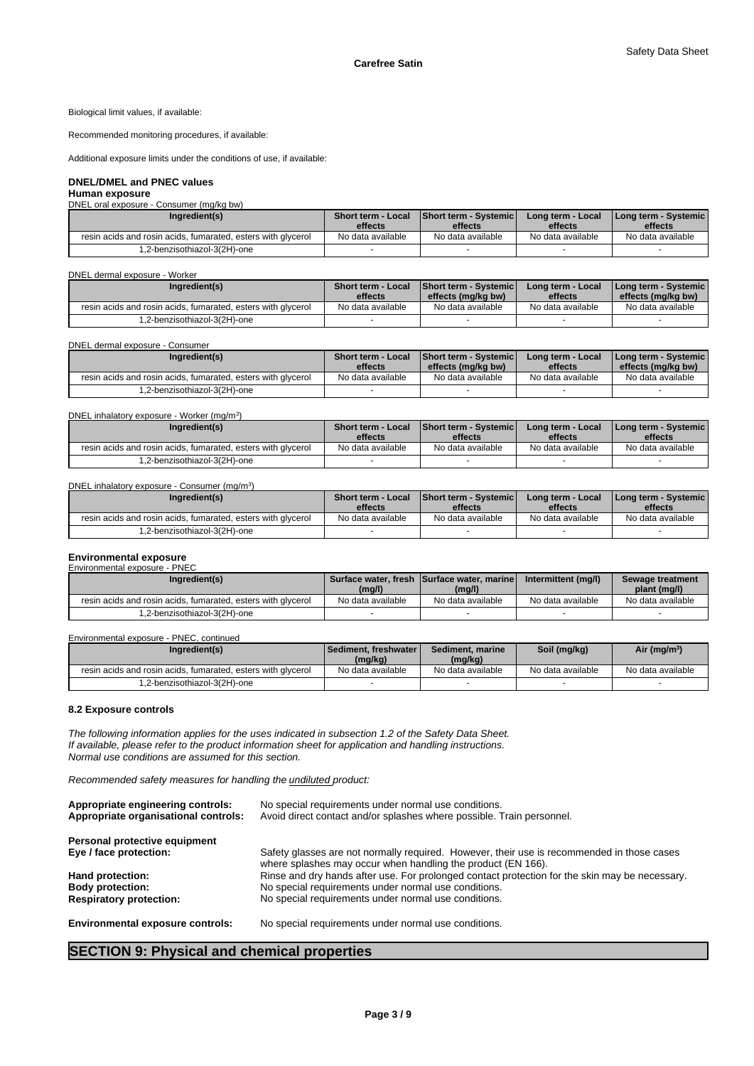Biological limit values, if available:

Recommended monitoring procedures, if available:

Additional exposure limits under the conditions of use, if available:

### **DNEL/DMEL and PNEC values**

#### **Human exposure**

DNEL oral exposure - Consumer (mg/kg bw)

| Ingredient(s)                                                | <b>Short term - Local</b><br>effects | <b>Short term - Systemicl</b><br>effects | Long term - Local<br>effects | I Long term - Systemic I<br>effects |
|--------------------------------------------------------------|--------------------------------------|------------------------------------------|------------------------------|-------------------------------------|
| resin acids and rosin acids, fumarated, esters with glycerol | No data available                    | No data available                        | No data available            | No data available                   |
| -2-benzisothiazol-3(2H)-one.                                 |                                      |                                          |                              |                                     |

DNEL dermal exposure - Worker

| Ingredient(s)                                                | <b>Short term - Local</b><br>effects | <b>Short term - Systemic</b><br>effects (ma/ka bw) | Long term - Local<br>effects | <b>I Long term - Systemic I</b><br>effects (mg/kg bw) |
|--------------------------------------------------------------|--------------------------------------|----------------------------------------------------|------------------------------|-------------------------------------------------------|
| resin acids and rosin acids, fumarated, esters with glycerol | No data available                    | No data available                                  | No data available            | No data available                                     |
| -2-benzisothiazol-3(2H)-one.                                 |                                      |                                                    |                              |                                                       |

DNEL dermal exposure - Consumer

| <b>Short term - Local</b> |                   | Long term - Local  | I Long term - Systemic I                 |
|---------------------------|-------------------|--------------------|------------------------------------------|
|                           |                   |                    | effects (mg/kg bw)                       |
| No data available         | No data available | No data available  | No data available                        |
|                           |                   |                    |                                          |
|                           | effects           | effects (mg/kg bw) | <b>Short term - Systemicl</b><br>effects |

DNEL inhalatory exposure - Worker (mg/m<sup>3</sup>  $)$ 

| Ingredient(s)                                                | <b>Short term - Local</b> | <b>Short term - Systemic</b> | Long term - Local | <b>I Long term - Systemic I</b> |
|--------------------------------------------------------------|---------------------------|------------------------------|-------------------|---------------------------------|
|                                                              | effects                   | effects                      | effects           | effects                         |
| resin acids and rosin acids, fumarated, esters with givcerol | No data available         | No data available            | No data available | No data available               |
| -2-benzisothiazol-3(2H)-one.                                 |                           |                              |                   |                                 |

DNEL inhalatory exposure - Consumer (mg/m<sup>3</sup>)

| Ingredient(s)                                                | <b>Short term - Local</b><br>effects | <b>Short term - Systemicl</b><br>effects | Long term - Local<br>effects | I Long term - Systemic I<br>effects |
|--------------------------------------------------------------|--------------------------------------|------------------------------------------|------------------------------|-------------------------------------|
| resin acids and rosin acids, fumarated, esters with glycerol | No data available                    | No data available                        | No data available            | No data available                   |
| -2-benzisothiazol-3(2H)-one.                                 |                                      |                                          |                              |                                     |

#### **Environmental exposure** Environmental exposure - PNEC

| Ingredient(s)                                                | (mg/l)            | Surface water, fresh ISurface water, marine<br>(mg/l) | Intermittent (mg/l) | Sewage treatment<br>plant (mg/l) |
|--------------------------------------------------------------|-------------------|-------------------------------------------------------|---------------------|----------------------------------|
| resin acids and rosin acids, fumarated, esters with glycerol | No data available | No data available                                     | No data available   | No data available                |
| 1.2-benzisothiazol-3(2H)-one                                 |                   |                                                       |                     |                                  |

Environmental exposure - PNEC, continued

| Ingredient(s)                                                | l Sediment. freshwater l<br>(mg/kg) | Sediment, marine<br>(mg/kg) | Soil (mg/kg)      | Air (mg/m <sup>3</sup> ) |
|--------------------------------------------------------------|-------------------------------------|-----------------------------|-------------------|--------------------------|
| resin acids and rosin acids, fumarated, esters with glycerol | No data available                   | No data available           | No data available | No data available        |
| 1,2-benzisothiazol-3(2H)-one                                 |                                     |                             |                   |                          |

### **8.2 Exposure controls**

*The following information applies for the uses indicated in subsection 1.2 of the Safety Data Sheet. If available, please refer to the product information sheet for application and handling instructions. Normal use conditions are assumed for this section.*

 $)$ 

*Recommended safety measures for handling the undiluted product:*

| Appropriate engineering controls:<br>Appropriate organisational controls: | No special requirements under normal use conditions.<br>Avoid direct contact and/or splashes where possible. Train personnel.                              |
|---------------------------------------------------------------------------|------------------------------------------------------------------------------------------------------------------------------------------------------------|
| Personal protective equipment                                             |                                                                                                                                                            |
| Eye / face protection:                                                    | Safety glasses are not normally required. However, their use is recommended in those cases<br>where splashes may occur when handling the product (EN 166). |
| Hand protection:                                                          | Rinse and dry hands after use. For prolonged contact protection for the skin may be necessary.                                                             |
| <b>Body protection:</b>                                                   | No special requirements under normal use conditions.                                                                                                       |
| <b>Respiratory protection:</b>                                            | No special requirements under normal use conditions.                                                                                                       |
| <b>Environmental exposure controls:</b>                                   | No special requirements under normal use conditions.                                                                                                       |

## **SECTION 9: Physical and chemical properties**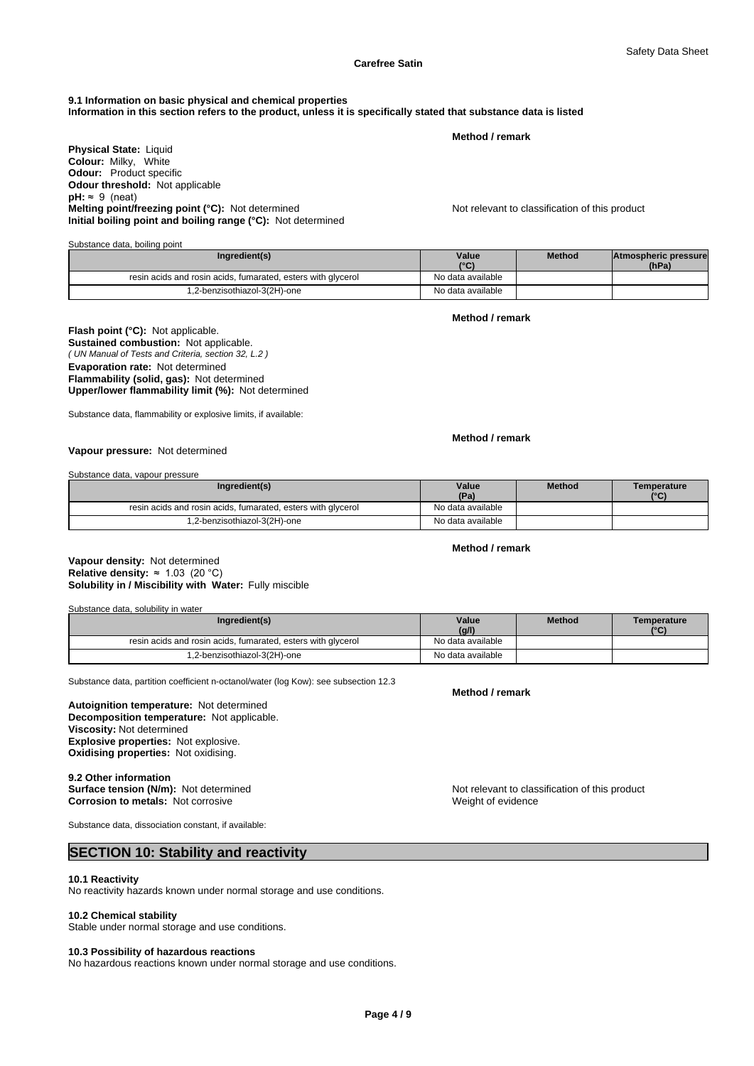## **9.1 Information on basic physical and chemical properties**

**Information in this section refers to the product, unless it is specifically stated that substance data is listed**

**Method / remark**

**Physical State:** Liquid **Colour:** Milky, White **Odour:** Product specific **Odour threshold:** Not applicable  $pH: \approx 9$  (neat) **Melting point/freezing point (°C):** Not determined Not relevant to classification of this product **Initial boiling point and boiling range (°C):** Not determined

| Ingredient(s)                                                | Value<br>$\sim$   | <b>Method</b> | Atmospheric pressure<br>(hPa) |
|--------------------------------------------------------------|-------------------|---------------|-------------------------------|
| resin acids and rosin acids, fumarated, esters with glycerol | No data available |               |                               |
| 1,2-benzisothiazol-3(2H)-one                                 | No data available |               |                               |

**Method / remark**

#### *( UN Manual of Tests and Criteria, section 32, L.2 )* **Flash point (°C):** Not applicable. **Sustained combustion:** Not applicable. **Evaporation rate:** Not determined **Flammability (solid, gas):** Not determined **Upper/lower flammability limit (%):** Not determined

Substance data, flammability or explosive limits, if available:

### **Method / remark**

**Vapour pressure:** Not determined

Substance data, vapour pressure

Substance data, boiling point

| Ingredient(s)                                                | Value<br>(Pa)     | <b>Method</b> | Temperature<br>C |
|--------------------------------------------------------------|-------------------|---------------|------------------|
| resin acids and rosin acids, fumarated, esters with glycerol | No data available |               |                  |
| 1,2-benzisothiazol-3(2H)-one                                 | No data available |               |                  |

**Method / remark**

### **Solubility in / Miscibility with Water:** Fully miscible **Vapour density:** Not determined **Relative density:** ≈1.03(20°C)

Substance data, solubility in water

| Ingredient(s)                                                | Value             | <b>Method</b> | Temperature  |
|--------------------------------------------------------------|-------------------|---------------|--------------|
|                                                              | (g/l)             |               | $10^{\circ}$ |
| resin acids and rosin acids, fumarated, esters with glycerol | No data available |               |              |
| 1,2-benzisothiazol-3(2H)-one                                 | No data available |               |              |

Substance data, partition coefficient n-octanol/water (log Kow): see subsection 12.3

#### **Decomposition temperature:** Not applicable. **Autoignition temperature:** Not determined **Viscosity:** Not determined **Explosive properties:** Not explosive. **Oxidising properties:** Not oxidising.

## **9.2 Other information<br>Surface tension (N/m):** Not determined **Corrosion to metals:** Not corrosive Weight of evidence Weight of evidence

Substance data, dissociation constant, if available:

## **SECTION 10: Stability and reactivity**

### **10.1 Reactivity**

No reactivity hazards known under normal storage and use conditions.

### **10.2 Chemical stability**

Stable under normal storage and use conditions.

#### **10.3 Possibility of hazardous reactions**

No hazardous reactions known under normal storage and use conditions.

**Method / remark**

Not relevant to classification of this product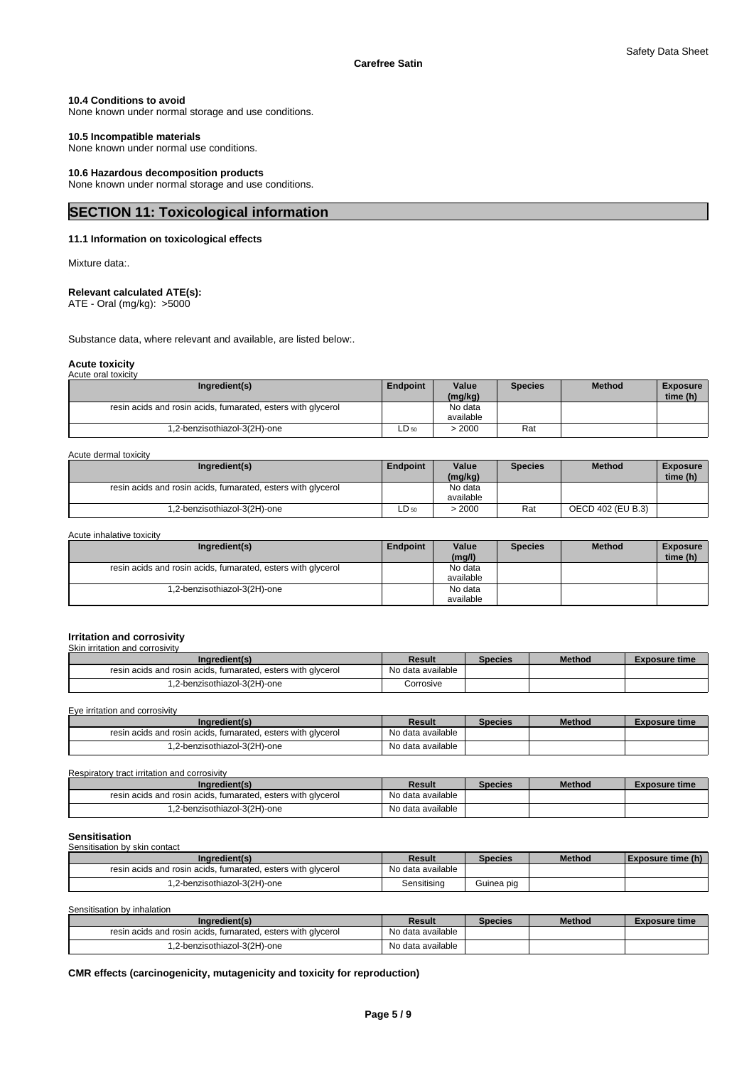### **10.4 Conditions to avoid**

None known under normal storage and use conditions.

### **10.5 Incompatible materials**

None known under normal use conditions.

### **10.6 Hazardous decomposition products**

None known under normal storage and use conditions.

## **SECTION 11: Toxicological information**

### **11.1 Information on toxicological effects**

Mixture data:.

### **Relevant calculated ATE(s):**

ATE - Oral (mg/kg): >5000

Substance data, where relevant and available, are listed below:.

#### **Acute toxicity** Acute oral tox

| wate oral toxicity                                           |                 |                      |                |               |                             |
|--------------------------------------------------------------|-----------------|----------------------|----------------|---------------|-----------------------------|
| Ingredient(s)                                                | <b>Endpoint</b> | Value<br>(mg/kg)     | <b>Species</b> | <b>Method</b> | <b>Exposure</b><br>time (h) |
| resin acids and rosin acids, fumarated, esters with glycerol |                 | No data<br>available |                |               |                             |
| .2-benzisothiazol-3(2H)-one                                  | $LD_{50}$       | 2000ء                | Rat            |               |                             |

### Acute dermal toxicity

| Ingredient(s)                                                | <b>Endpoint</b> | Value<br>(mg/kg) | <b>Species</b> | <b>Method</b>     | Exposure<br>time (h) |
|--------------------------------------------------------------|-----------------|------------------|----------------|-------------------|----------------------|
| resin acids and rosin acids, fumarated, esters with glycerol |                 | No data          |                |                   |                      |
|                                                              |                 | available        |                |                   |                      |
| .2-benzisothiazol-3(2H)-one                                  | $LD_{50}$       | 2000             | Rat            | OECD 402 (EU B.3) |                      |

| Acute inhalative toxicity |  |
|---------------------------|--|
|---------------------------|--|

| Ingredient(s)                                                | Endpoint | Value<br>(mg/l) | <b>Species</b> | <b>Method</b> | <b>Exposure</b><br>time (h) |
|--------------------------------------------------------------|----------|-----------------|----------------|---------------|-----------------------------|
| resin acids and rosin acids, fumarated, esters with glycerol |          | No data         |                |               |                             |
|                                                              |          | available       |                |               |                             |
| 1,2-benzisothiazol-3(2H)-one                                 |          | No data         |                |               |                             |
|                                                              |          | available       |                |               |                             |

#### **Irritation and corrosivity** Skin irritation and corrosivity

| Ingredient(s)                                                | Result            | Species | <b>Method</b> | <b>Exposure time</b> |
|--------------------------------------------------------------|-------------------|---------|---------------|----------------------|
| resin acids and rosin acids, fumarated, esters with glycerol | No data available |         |               |                      |
| .2-benzisothiazol-3(2H)-one                                  | Corrosive         |         |               |                      |

Eye irritation and corrosivity

| Ingredient(s)                                                | Result            | Species | Method | <b>Exposure time</b> |
|--------------------------------------------------------------|-------------------|---------|--------|----------------------|
| resin acids and rosin acids, fumarated, esters with glycerol | No data available |         |        |                      |
| .2-benzisothiazol-3(2H)-one                                  | No data available |         |        |                      |

Respiratory tract irritation and corrosivity

| Ingredient(s)                                                | Result            | Species | <b>Method</b> | Exposure time |
|--------------------------------------------------------------|-------------------|---------|---------------|---------------|
| resin acids and rosin acids, fumarated, esters with glycerol | No data available |         |               |               |
| .2-benzisothiazol-3(2H)-one                                  | No data available |         |               |               |

### **Sensitisation**

| Sensitisation by skin contact                                |                   |                |               |                          |
|--------------------------------------------------------------|-------------------|----------------|---------------|--------------------------|
| Ingredient(s)                                                | Result            | <b>Species</b> | <b>Method</b> | <b>Exposure time (h)</b> |
| resin acids and rosin acids, fumarated, esters with glycerol | No data available |                |               |                          |
| 1,2-benzisothiazol-3(2H)-one                                 | Sensitising       | Guinea pig     |               |                          |

| Sensitisation by inhalation                                  |                   |                |               |                      |
|--------------------------------------------------------------|-------------------|----------------|---------------|----------------------|
| Ingredient(s)                                                | Result            | <b>Species</b> | <b>Method</b> | <b>Exposure time</b> |
| resin acids and rosin acids, fumarated, esters with glycerol | No data available |                |               |                      |
| 1,2-benzisothiazol-3(2H)-one                                 | No data available |                |               |                      |

### **CMR effects (carcinogenicity, mutagenicity and toxicity for reproduction)**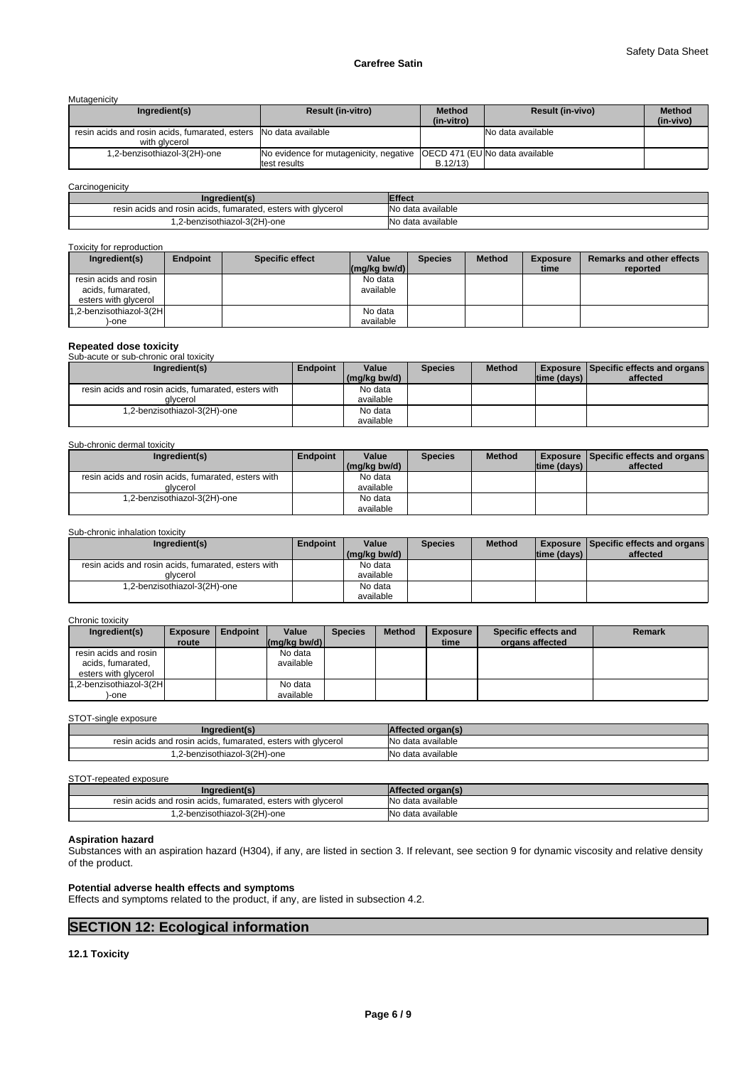### **Carefree Satin**

Mutagenicity

| Ingredient(s)                                                                     | <b>Result (in-vitro)</b>                                                                | <b>Method</b><br>(in-vitro) | <b>Result (in-vivo)</b> | <b>Method</b><br>(in-vivo) |
|-----------------------------------------------------------------------------------|-----------------------------------------------------------------------------------------|-----------------------------|-------------------------|----------------------------|
| resin acids and rosin acids, fumarated, esters No data available<br>with alvcerol |                                                                                         |                             | No data available       |                            |
| 1,2-benzisothiazol-3(2H)-one                                                      | No evidence for mutagenicity, negative   OECD 471 (EU No data available<br>test results | B.12/13                     |                         |                            |

### **Carcinogenicity**

| .ngredient(s'                                                | Effect                  |
|--------------------------------------------------------------|-------------------------|
| resin acids and rosin acids, fumarated, esters with glycerol | INo<br>data available د |
| 2-benzisothiazol-3(2H)-one                                   | lΝo<br>≧data available  |

#### Toxicity for reproduction

| Ingredient(s)           | <b>Endpoint</b> | <b>Specific effect</b> | Value                                | <b>Species</b> | <b>Method</b> | <b>Exposure</b> | Remarks and other effects |
|-------------------------|-----------------|------------------------|--------------------------------------|----------------|---------------|-----------------|---------------------------|
|                         |                 |                        | $\lfloor (mq/kg) \cdot (md) \rfloor$ |                |               | time            | reported                  |
| resin acids and rosin   |                 |                        | No data                              |                |               |                 |                           |
| acids, fumarated,       |                 |                        | available                            |                |               |                 |                           |
| esters with glycerol    |                 |                        |                                      |                |               |                 |                           |
| 1,2-benzisothiazol-3(2H |                 |                        | No data                              |                |               |                 |                           |
| -one                    |                 |                        | available                            |                |               |                 |                           |

## **Repeated dose toxicity** Sub-acute or sub-chronic oral toxicity

| Ingredient(s)                                       | <b>Endpoint</b> | Value        | <b>Species</b> | <b>Method</b> |             | <b>Exposure Specific effects and organs</b> |
|-----------------------------------------------------|-----------------|--------------|----------------|---------------|-------------|---------------------------------------------|
|                                                     |                 | (mg/kg bw/d) |                |               | time (days) | affected                                    |
| resin acids and rosin acids, fumarated, esters with |                 | No data      |                |               |             |                                             |
| alvcerol                                            |                 | available    |                |               |             |                                             |
| 1,2-benzisothiazol-3(2H)-one                        |                 | No data      |                |               |             |                                             |
|                                                     |                 | available    |                |               |             |                                             |

#### Sub-chronic dermal toxicity

| Ingredient(s)                                       | <b>Endpoint</b> | Value        | <b>Species</b> | <b>Method</b> |             | <b>Exposure   Specific effects and organs  </b> |
|-----------------------------------------------------|-----------------|--------------|----------------|---------------|-------------|-------------------------------------------------|
|                                                     |                 | (mg/kg bw/d) |                |               | time (days) | affected                                        |
| resin acids and rosin acids, fumarated, esters with |                 | No data      |                |               |             |                                                 |
| alvcerol                                            |                 | available    |                |               |             |                                                 |
| 1,2-benzisothiazol-3(2H)-one                        |                 | No data      |                |               |             |                                                 |
|                                                     |                 | available    |                |               |             |                                                 |

### Sub-chronic inhalation toxicity

| Ingredient(s)                                       | <b>Endpoint</b> | Value        | <b>Species</b> | <b>Method</b> |              | <b>Exposure   Specific effects and organs  </b> |
|-----------------------------------------------------|-----------------|--------------|----------------|---------------|--------------|-------------------------------------------------|
|                                                     |                 | (mg/kg bw/d) |                |               | Itime (davs) | affected                                        |
| resin acids and rosin acids, fumarated, esters with |                 | No data      |                |               |              |                                                 |
| alvcerol                                            |                 | available    |                |               |              |                                                 |
| .2-benzisothiazol-3(2H)-one                         |                 | No data      |                |               |              |                                                 |
|                                                     |                 | available    |                |               |              |                                                 |

### Chronic toxicity

| Ingredient(s)                                                      | <b>Exposure</b><br>route | Endpoint | Value<br>$\left \frac{\text{mg}}{\text{kg}}\right $ bw/d) | <b>Species</b> | <b>Method</b> | <b>Exposure</b><br>time | Specific effects and<br>organs affected | Remark |
|--------------------------------------------------------------------|--------------------------|----------|-----------------------------------------------------------|----------------|---------------|-------------------------|-----------------------------------------|--------|
| resin acids and rosin<br>acids, fumarated,<br>esters with glycerol |                          |          | No data<br>available                                      |                |               |                         |                                         |        |
| 1.2-benzisothiazol-3(2H<br>-one                                    |                          |          | No data<br>available                                      |                |               |                         |                                         |        |

STOT-single exposure

| redient(s                                                    | $-$ culture    |
|--------------------------------------------------------------|----------------|
| resin acids and rosin acids, fumarated, esters with glycerol | data available |
| 1,2-benzisothiazol-3(2H)-one                                 | data available |

#### STOT-repeated exposure

| Ingredient(s)                                                | Affected organ(s) |
|--------------------------------------------------------------|-------------------|
| resin acids and rosin acids, fumarated, esters with glycerol | No data available |
| 1,2-benzisothiazol-3(2H)-one                                 | No data available |

### **Aspiration hazard**

Substances with an aspiration hazard (H304), if any, are listed in section 3. If relevant, see section 9 for dynamic viscosity and relative density of the product.

### **Potential adverse health effects and symptoms**

Effects and symptoms related to the product, if any, are listed in subsection 4.2.

## **SECTION 12: Ecological information**

### **12.1 Toxicity**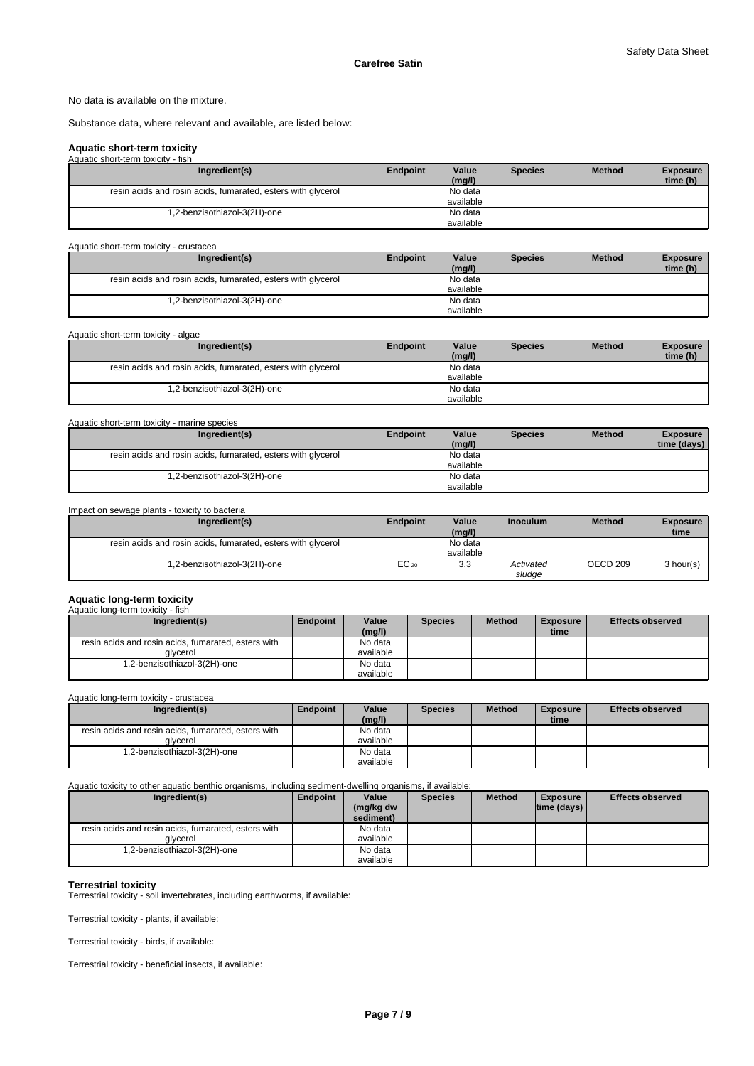No data is available on the mixture.

Substance data, where relevant and available, are listed below:

### **Aquatic short-term toxicity**

| Aquatic short-term toxicity - fish                           |          |                 |                |               |                             |
|--------------------------------------------------------------|----------|-----------------|----------------|---------------|-----------------------------|
| Ingredient(s)                                                | Endpoint | Value<br>(mg/l) | <b>Species</b> | <b>Method</b> | <b>Exposure</b><br>time (h) |
|                                                              |          |                 |                |               |                             |
| resin acids and rosin acids, fumarated, esters with glycerol |          | No data         |                |               |                             |
|                                                              |          | available       |                |               |                             |
| 1,2-benzisothiazol-3(2H)-one                                 |          | No data         |                |               |                             |
|                                                              |          | available       |                |               |                             |

| Aquatic short-term toxicity - crustacea                      |          |                 |                |               |                             |
|--------------------------------------------------------------|----------|-----------------|----------------|---------------|-----------------------------|
| Ingredient(s)                                                | Endpoint | Value<br>(mg/l) | <b>Species</b> | <b>Method</b> | <b>Exposure</b><br>time (h) |
| resin acids and rosin acids, fumarated, esters with glycerol |          | No data         |                |               |                             |
|                                                              |          | available       |                |               |                             |
| .2-benzisothiazol-3(2H)-one                                  |          | No data         |                |               |                             |
|                                                              |          | available       |                |               |                             |

| Aquatic short-term toxicity - algae                          |          |                 |                |               |                             |
|--------------------------------------------------------------|----------|-----------------|----------------|---------------|-----------------------------|
| Ingredient(s)                                                | Endpoint | Value<br>(mg/l) | <b>Species</b> | <b>Method</b> | <b>Exposure</b><br>time (h) |
| resin acids and rosin acids, fumarated, esters with glycerol |          | No data         |                |               |                             |
|                                                              |          | available       |                |               |                             |
| .2-benzisothiazol-3(2H)-one                                  |          | No data         |                |               |                             |
|                                                              |          | available       |                |               |                             |

| Aquatic short-term toxicity - marine species                 |                 |           |                |               |                 |
|--------------------------------------------------------------|-----------------|-----------|----------------|---------------|-----------------|
| Ingredient(s)                                                | <b>Endpoint</b> | Value     | <b>Species</b> | <b>Method</b> | <b>Exposure</b> |
|                                                              |                 | (mq/l)    |                |               | time (days)     |
| resin acids and rosin acids, fumarated, esters with glycerol |                 | No data   |                |               |                 |
|                                                              |                 | available |                |               |                 |
| 1,2-benzisothiazol-3(2H)-one                                 |                 | No data   |                |               |                 |
|                                                              |                 | available |                |               |                 |

| Impact on sewage plants - toxicity to bacteria               |                 |                      |                     |               |                         |
|--------------------------------------------------------------|-----------------|----------------------|---------------------|---------------|-------------------------|
| Ingredient(s)                                                | <b>Endpoint</b> | Value<br>(mg/l)      | <b>Inoculum</b>     | <b>Method</b> | <b>Exposure</b><br>time |
| resin acids and rosin acids, fumarated, esters with glycerol |                 | No data<br>available |                     |               |                         |
| .2-benzisothiazol-3(2H)-one                                  | $EC_{20}$       | 3.3                  | Activated<br>sludge | OECD 209      | 3 hour(s)               |

### **Aquatic long-term toxicity**

| Aquatic long-term toxicity - fish                   |          |           |                |               |                 |                         |
|-----------------------------------------------------|----------|-----------|----------------|---------------|-----------------|-------------------------|
| Ingredient(s)                                       | Endpoint | Value     | <b>Species</b> | <b>Method</b> | <b>Exposure</b> | <b>Effects observed</b> |
|                                                     |          | (mg/l)    |                |               | time            |                         |
| resin acids and rosin acids, fumarated, esters with |          | No data   |                |               |                 |                         |
| alvcerol                                            |          | available |                |               |                 |                         |
| 1,2-benzisothiazol-3(2H)-one                        |          | No data   |                |               |                 |                         |
|                                                     |          | available |                |               |                 |                         |

Aquatic long-term toxicity - crustacea

| Ingredient(s)                                       | Endpoint | Value     | <b>Species</b> | <b>Method</b> | <b>Exposure</b> | <b>Effects observed</b> |
|-----------------------------------------------------|----------|-----------|----------------|---------------|-----------------|-------------------------|
|                                                     |          | (mg/l)    |                |               | time            |                         |
| resin acids and rosin acids, fumarated, esters with |          | No data   |                |               |                 |                         |
| alvcerol                                            |          | available |                |               |                 |                         |
| .2-benzisothiazol-3(2H)-one                         |          | No data   |                |               |                 |                         |
|                                                     |          | available |                |               |                 |                         |

Aquatic toxicity to other aquatic benthic organisms, including sediment-dwelling organisms, if available:

| Ingredient(s)                                       | Endpoint | Value     | <b>Species</b> | <b>Method</b> | <b>Exposure</b>    | <b>Effects observed</b> |
|-----------------------------------------------------|----------|-----------|----------------|---------------|--------------------|-------------------------|
|                                                     |          | (mg/kg dw |                |               | $ time$ (days) $ $ |                         |
|                                                     |          | sediment) |                |               |                    |                         |
| resin acids and rosin acids, fumarated, esters with |          | No data   |                |               |                    |                         |
| alvcerol                                            |          | available |                |               |                    |                         |
| 1,2-benzisothiazol-3(2H)-one                        |          | No data   |                |               |                    |                         |
|                                                     |          | available |                |               |                    |                         |

**Terrestrial toxicity** Terrestrial toxicity - soil invertebrates, including earthworms, if available:

Terrestrial toxicity - plants, if available:

Terrestrial toxicity - birds, if available:

Terrestrial toxicity - beneficial insects, if available: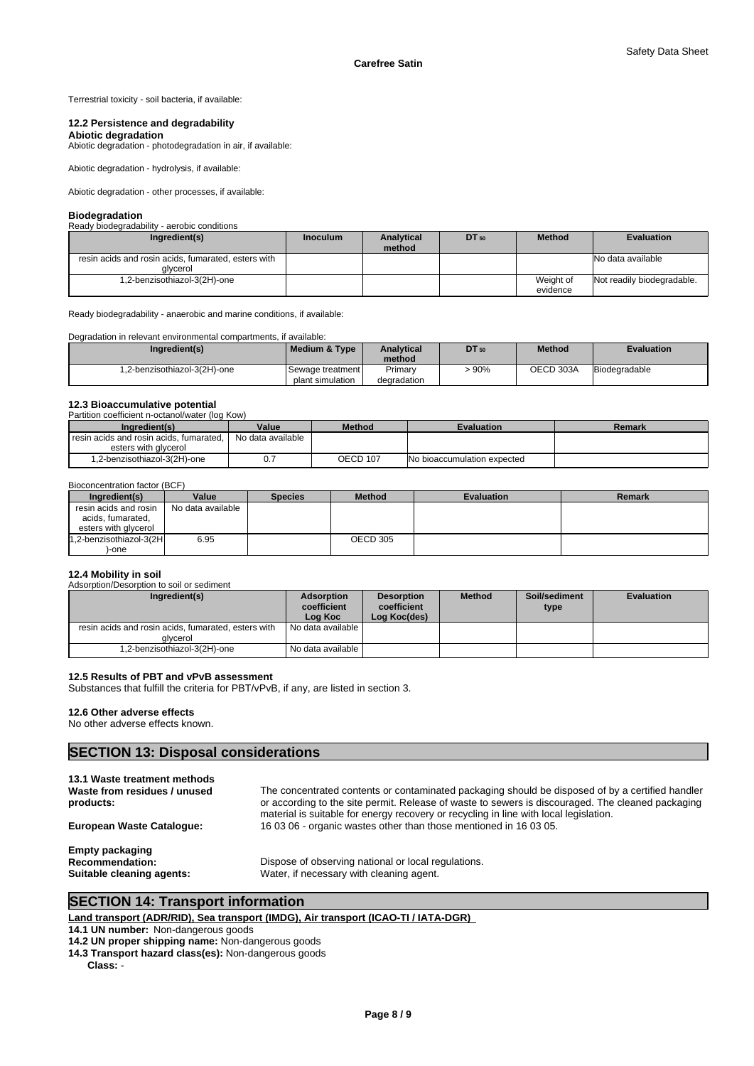Terrestrial toxicity - soil bacteria, if available:

#### **12.2 Persistence and degradability**

**Abiotic degradation** Abiotic degradation - photodegradation in air, if available:

Abiotic degradation - hydrolysis, if available:

Abiotic degradation - other processes, if available:

#### **Biodegradation**

| Ready biodegradability - aerobic conditions                     |                 |                             |       |                       |                            |
|-----------------------------------------------------------------|-----------------|-----------------------------|-------|-----------------------|----------------------------|
| Ingredient(s)                                                   | <b>Inoculum</b> | <b>Analytical</b><br>method | DT 50 | <b>Method</b>         | <b>Evaluation</b>          |
| resin acids and rosin acids, fumarated, esters with<br>alvcerol |                 |                             |       |                       | No data available          |
| 1,2-benzisothiazol-3(2H)-one                                    |                 |                             |       | Weight of<br>evidence | Not readily biodegradable. |

Ready biodegradability - anaerobic and marine conditions, if available:

| Degradation in relevant environmental compartments, if available: |                      |                   |       |               |                   |
|-------------------------------------------------------------------|----------------------|-------------------|-------|---------------|-------------------|
| Ingredient(s)                                                     | Medium & Type        | <b>Analytical</b> | DT 50 | <b>Method</b> | <b>Evaluation</b> |
|                                                                   |                      | method            |       |               |                   |
| 1,2-benzisothiazol-3(2H)-one                                      | l Sewaαe treatment l | Primary           | >90%  | OECD 303A     | Biodegradable     |
|                                                                   | plant simulation     | degradation       |       |               |                   |

## **12.3 Bioaccumulative potential**

| Partition coefficient n-octanol/water (log Kow) |                   |                 |                                    |        |
|-------------------------------------------------|-------------------|-----------------|------------------------------------|--------|
| Ingredient(s)                                   | Value             | <b>Method</b>   | <b>Evaluation</b>                  | Remark |
| resin acids and rosin acids, fumarated,         | No data available |                 |                                    |        |
| esters with glycerol                            |                   |                 |                                    |        |
| 1,2-benzisothiazol-3(2H)-one                    |                   | <b>OECD 107</b> | <b>No bioaccumulation expected</b> |        |

#### Bioconcentration factor (BCF)

| Ingredient(s)           | Value             | <b>Species</b> | <b>Method</b> | <b>Evaluation</b> | Remark |
|-------------------------|-------------------|----------------|---------------|-------------------|--------|
| resin acids and rosin   | No data available |                |               |                   |        |
| acids, fumarated,       |                   |                |               |                   |        |
| esters with glycerol    |                   |                |               |                   |        |
| 1,2-benzisothiazol-3(2H | 6.95              |                | OECD 305      |                   |        |
| -one                    |                   |                |               |                   |        |

### **12.4 Mobility in soil**

Adsorption/Desorption to soil or sediment

| Ingredient(s)                                                   | <b>Adsorption</b><br>coefficient<br>Log Koc | <b>Desorption</b><br>coefficient<br>Log Koc(des) | <b>Method</b> | Soil/sediment<br>type | <b>Evaluation</b> |
|-----------------------------------------------------------------|---------------------------------------------|--------------------------------------------------|---------------|-----------------------|-------------------|
| resin acids and rosin acids, fumarated, esters with<br>alvcerol | No data available I                         |                                                  |               |                       |                   |
| 1,2-benzisothiazol-3(2H)-one                                    | No data available I                         |                                                  |               |                       |                   |

### **12.5 Results of PBT and vPvB assessment**

Substances that fulfill the criteria for PBT/vPvB, if any, are listed in section 3.

### **12.6 Other adverse effects**

No other adverse effects known.

### **SECTION 13: Disposal considerations**

| 13.1 Waste treatment methods<br>Waste from residues / unused<br>products:     | The concentrated contents or contaminated packaging should be disposed of by a certified handler<br>or according to the site permit. Release of waste to sewers is discouraged. The cleaned packaging<br>material is suitable for energy recovery or recycling in line with local legislation. |
|-------------------------------------------------------------------------------|------------------------------------------------------------------------------------------------------------------------------------------------------------------------------------------------------------------------------------------------------------------------------------------------|
| <b>European Waste Cataloque:</b>                                              | 160306 - organic wastes other than those mentioned in 160305.                                                                                                                                                                                                                                  |
| <b>Empty packaging</b><br><b>Recommendation:</b><br>Suitable cleaning agents: | Dispose of observing national or local regulations.<br>Water, if necessary with cleaning agent.                                                                                                                                                                                                |

## **SECTION 14: Transport information**

**Land transport (ADR/RID), Sea transport (IMDG), Air transport (ICAO-TI / IATA-DGR)** 

**14.1 UN number:** Non-dangerous goods

**14.2 UN proper shipping name:** Non-dangerous goods

**14.3 Transport hazard class(es):** Non-dangerous goods

**Class:** -